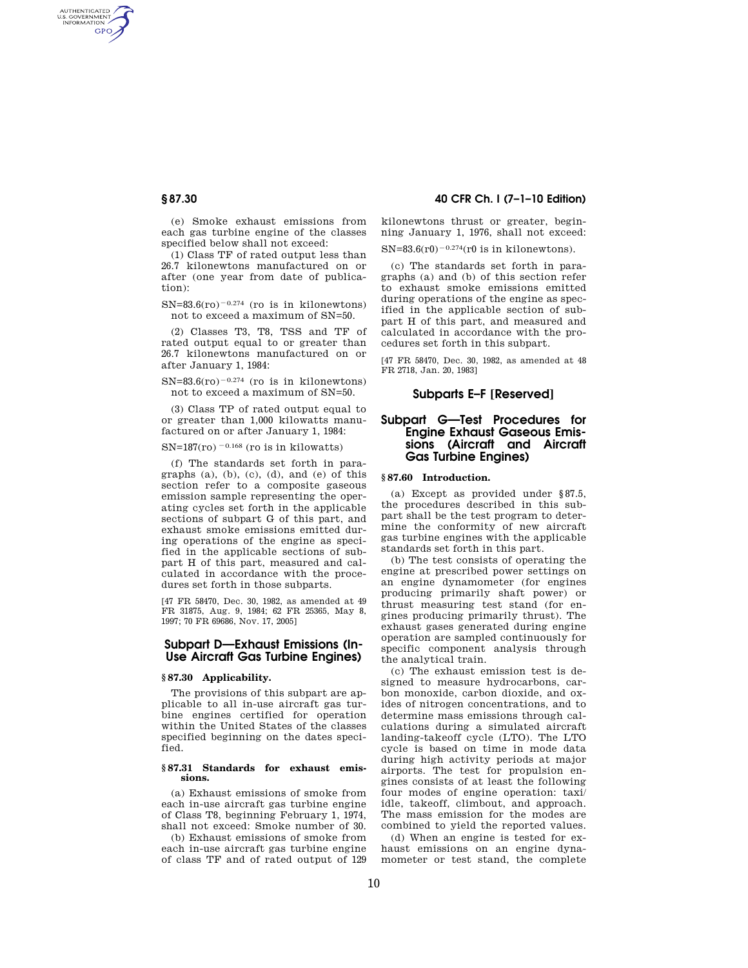AUTHENTICATED<br>U.S. GOVERNMENT<br>INFORMATION **GPO** 

> (e) Smoke exhaust emissions from each gas turbine engine of the classes specified below shall not exceed:

> (1) Class TF of rated output less than 26.7 kilonewtons manufactured on or after (one year from date of publication):

 $SN=83.6(ro)^{-0.274}$  (ro is in kilonewtons) not to exceed a maximum of SN=50.

(2) Classes T3, T8, TSS and TF of rated output equal to or greater than 26.7 kilonewtons manufactured on or after January 1, 1984:

 $SN=83.6(ro)^{-0.274}$  (ro is in kilonewtons) not to exceed a maximum of SN=50.

(3) Class TP of rated output equal to or greater than 1,000 kilowatts manufactured on or after January 1, 1984:

SN=187(ro)  $^{-0.168}$  (ro is in kilowatts)

(f) The standards set forth in paragraphs (a), (b), (c), (d), and (e) of this section refer to a composite gaseous emission sample representing the operating cycles set forth in the applicable sections of subpart G of this part, and exhaust smoke emissions emitted during operations of the engine as specified in the applicable sections of subpart H of this part, measured and calculated in accordance with the procedures set forth in those subparts.

[47 FR 58470, Dec. 30, 1982, as amended at 49 FR 31875, Aug. 9, 1984; 62 FR 25365, May 8, 1997; 70 FR 69686, Nov. 17, 2005]

# **Subpart D—Exhaust Emissions (In-Use Aircraft Gas Turbine Engines)**

### **§ 87.30 Applicability.**

The provisions of this subpart are applicable to all in-use aircraft gas turbine engines certified for operation within the United States of the classes specified beginning on the dates specified.

#### **§ 87.31 Standards for exhaust emissions.**

(a) Exhaust emissions of smoke from each in-use aircraft gas turbine engine of Class T8, beginning February 1, 1974, shall not exceed: Smoke number of 30.

(b) Exhaust emissions of smoke from each in-use aircraft gas turbine engine of class TF and of rated output of 129

# **§ 87.30 40 CFR Ch. I (7–1–10 Edition)**

kilonewtons thrust or greater, beginning January 1, 1976, shall not exceed:

 $SN=83.6(r0)^{-0.274}(r0 \text{ is in kilonewtons}).$ 

(c) The standards set forth in paragraphs (a) and (b) of this section refer to exhaust smoke emissions emitted during operations of the engine as specified in the applicable section of subpart H of this part, and measured and calculated in accordance with the procedures set forth in this subpart.

[47 FR 58470, Dec. 30, 1982, as amended at 48 FR 2718, Jan. 20, 1983]

# **Subparts E–F [Reserved]**

# **Subpart G—Test Procedures for Engine Exhaust Gaseous Emissions (Aircraft and Aircraft Gas Turbine Engines)**

## **§ 87.60 Introduction.**

(a) Except as provided under §87.5, the procedures described in this subpart shall be the test program to determine the conformity of new aircraft gas turbine engines with the applicable standards set forth in this part.

(b) The test consists of operating the engine at prescribed power settings on an engine dynamometer (for engines producing primarily shaft power) or thrust measuring test stand (for engines producing primarily thrust). The exhaust gases generated during engine operation are sampled continuously for specific component analysis through the analytical train.

(c) The exhaust emission test is designed to measure hydrocarbons, carbon monoxide, carbon dioxide, and oxides of nitrogen concentrations, and to determine mass emissions through calculations during a simulated aircraft landing-takeoff cycle (LTO). The LTO cycle is based on time in mode data during high activity periods at major airports. The test for propulsion engines consists of at least the following four modes of engine operation: taxi/ idle, takeoff, climbout, and approach. The mass emission for the modes are combined to yield the reported values.

(d) When an engine is tested for exhaust emissions on an engine dynamometer or test stand, the complete